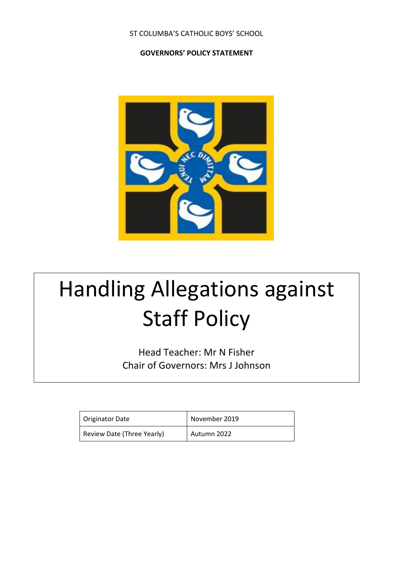#### ST COLUMBA'S CATHOLIC BOYS' SCHOOL

#### **GOVERNORS' POLICY STATEMENT**



# Handling Allegations against Staff Policy

Head Teacher: Mr N Fisher Chair of Governors: Mrs J Johnson

| Originator Date            | November 2019 |
|----------------------------|---------------|
| Review Date (Three Yearly) | Autumn 2022   |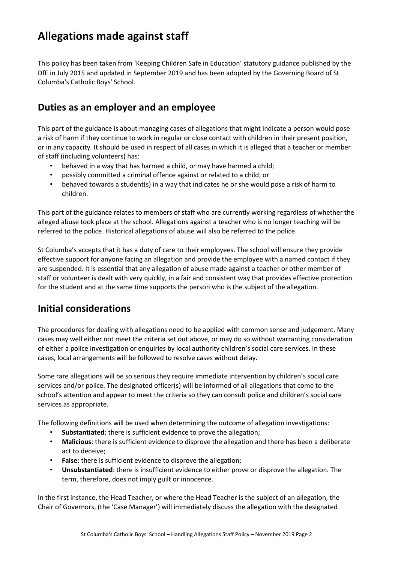## **Allegations made against staff**

This policy has been taken from '[Keeping Children Safe in Education](https://www.gov.uk/government/uploads/system/uploads/attachment_data/file/447595/KCSIE_July_2015.pdf)' statutory guidance published by the DfE in July 2015 and updated in September 2019 and has been adopted by the Governing Board of St Columba's Catholic Boys' School.

### **Duties as an employer and an employee**

This part of the guidance is about managing cases of allegations that might indicate a person would pose a risk of harm if they continue to work in regular or close contact with children in their present position, or in any capacity. It should be used in respect of all cases in which it is alleged that a teacher or member of staff (including volunteers) has:

- behaved in a way that has harmed a child, or may have harmed a child;
- possibly committed a criminal offence against or related to a child; or
- behaved towards a student(s) in a way that indicates he or she would pose a risk of harm to children.

This part of the guidance relates to members of staff who are currently working regardless of whether the alleged abuse took place at the school. Allegations against a teacher who is no longer teaching will be referred to the police. Historical allegations of abuse will also be referred to the police.

St Columba's accepts that it has a duty of care to their employees. The school will ensure they provide effective support for anyone facing an allegation and provide the employee with a named contact if they are suspended. It is essential that any allegation of abuse made against a teacher or other member of staff or volunteer is dealt with very quickly, in a fair and consistent way that provides effective protection for the student and at the same time supports the person who is the subject of the allegation.

## **Initial considerations**

The procedures for dealing with allegations need to be applied with common sense and judgement. Many cases may well either not meet the criteria set out above, or may do so without warranting consideration of either a police investigation or enquiries by local authority children's social care services. In these cases, local arrangements will be followed to resolve cases without delay.

Some rare allegations will be so serious they require immediate intervention by children's social care services and/or police. The designated officer(s) will be informed of all allegations that come to the school's attention and appear to meet the criteria so they can consult police and children's social care services as appropriate.

The following definitions will be used when determining the outcome of allegation investigations:

- **Substantiated**: there is sufficient evidence to prove the allegation;
- **Malicious**: there is sufficient evidence to disprove the allegation and there has been a deliberate act to deceive;
- **False:** there is sufficient evidence to disprove the allegation;
- **Unsubstantiated**: there is insufficient evidence to either prove or disprove the allegation. The term, therefore, does not imply guilt or innocence.

In the first instance, the Head Teacher, or where the Head Teacher is the subject of an allegation, the Chair of Governors, (the 'Case Manager') will immediately discuss the allegation with the designated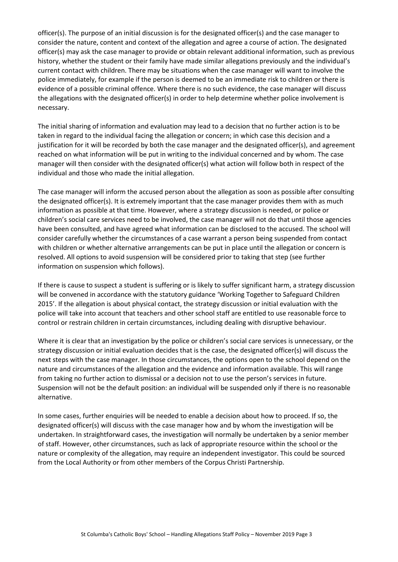officer(s). The purpose of an initial discussion is for the designated officer(s) and the case manager to consider the nature, content and context of the allegation and agree a course of action. The designated officer(s) may ask the case manager to provide or obtain relevant additional information, such as previous history, whether the student or their family have made similar allegations previously and the individual's current contact with children. There may be situations when the case manager will want to involve the police immediately, for example if the person is deemed to be an immediate risk to children or there is evidence of a possible criminal offence. Where there is no such evidence, the case manager will discuss the allegations with the designated officer(s) in order to help determine whether police involvement is necessary.

The initial sharing of information and evaluation may lead to a decision that no further action is to be taken in regard to the individual facing the allegation or concern; in which case this decision and a justification for it will be recorded by both the case manager and the designated officer(s), and agreement reached on what information will be put in writing to the individual concerned and by whom. The case manager will then consider with the designated officer(s) what action will follow both in respect of the individual and those who made the initial allegation.

The case manager will inform the accused person about the allegation as soon as possible after consulting the designated officer(s). It is extremely important that the case manager provides them with as much information as possible at that time. However, where a strategy discussion is needed, or police or children's social care services need to be involved, the case manager will not do that until those agencies have been consulted, and have agreed what information can be disclosed to the accused. The school will consider carefully whether the circumstances of a case warrant a person being suspended from contact with children or whether alternative arrangements can be put in place until the allegation or concern is resolved. All options to avoid suspension will be considered prior to taking that step (see further information on suspension which follows).

If there is cause to suspect a student is suffering or is likely to suffer significant harm, a strategy discussion will be convened in accordance with the statutory guidance 'Working Together to Safeguard Children 2015'. If the allegation is about physical contact, the strategy discussion or initial evaluation with the police will take into account that teachers and other school staff are entitled to use reasonable force to control or restrain children in certain circumstances, including dealing with disruptive behaviour.

Where it is clear that an investigation by the police or children's social care services is unnecessary, or the strategy discussion or initial evaluation decides that is the case, the designated officer(s) will discuss the next steps with the case manager. In those circumstances, the options open to the school depend on the nature and circumstances of the allegation and the evidence and information available. This will range from taking no further action to dismissal or a decision not to use the person's services in future. Suspension will not be the default position: an individual will be suspended only if there is no reasonable alternative.

In some cases, further enquiries will be needed to enable a decision about how to proceed. If so, the designated officer(s) will discuss with the case manager how and by whom the investigation will be undertaken. In straightforward cases, the investigation will normally be undertaken by a senior member of staff. However, other circumstances, such as lack of appropriate resource within the school or the nature or complexity of the allegation, may require an independent investigator. This could be sourced from the Local Authority or from other members of the Corpus Christi Partnership.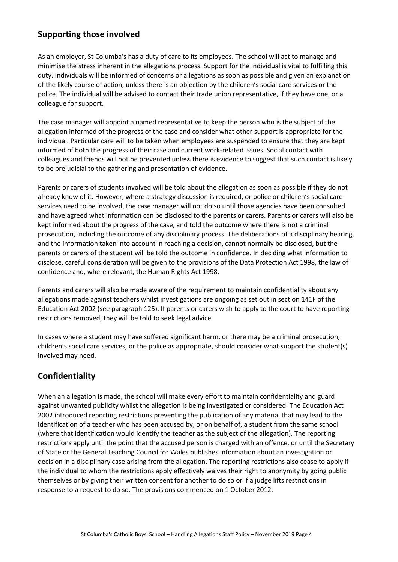#### **Supporting those involved**

As an employer, St Columba's has a duty of care to its employees. The school will act to manage and minimise the stress inherent in the allegations process. Support for the individual is vital to fulfilling this duty. Individuals will be informed of concerns or allegations as soon as possible and given an explanation of the likely course of action, unless there is an objection by the children's social care services or the police. The individual will be advised to contact their trade union representative, if they have one, or a colleague for support.

The case manager will appoint a named representative to keep the person who is the subject of the allegation informed of the progress of the case and consider what other support is appropriate for the individual. Particular care will to be taken when employees are suspended to ensure that they are kept informed of both the progress of their case and current work-related issues. Social contact with colleagues and friends will not be prevented unless there is evidence to suggest that such contact is likely to be prejudicial to the gathering and presentation of evidence.

Parents or carers of students involved will be told about the allegation as soon as possible if they do not already know of it. However, where a strategy discussion is required, or police or children's social care services need to be involved, the case manager will not do so until those agencies have been consulted and have agreed what information can be disclosed to the parents or carers. Parents or carers will also be kept informed about the progress of the case, and told the outcome where there is not a criminal prosecution, including the outcome of any disciplinary process. The deliberations of a disciplinary hearing, and the information taken into account in reaching a decision, cannot normally be disclosed, but the parents or carers of the student will be told the outcome in confidence. In deciding what information to disclose, careful consideration will be given to the provisions of the Data Protection Act 1998, the law of confidence and, where relevant, the Human Rights Act 1998.

Parents and carers will also be made aware of the requirement to maintain confidentiality about any allegations made against teachers whilst investigations are ongoing as set out in section 141F of the Education Act 2002 (see paragraph 125). If parents or carers wish to apply to the court to have reporting restrictions removed, they will be told to seek legal advice.

In cases where a student may have suffered significant harm, or there may be a criminal prosecution, children's social care services, or the police as appropriate, should consider what support the student(s) involved may need.

#### **Confidentiality**

When an allegation is made, the school will make every effort to maintain confidentiality and guard against unwanted publicity whilst the allegation is being investigated or considered. The Education Act 2002 introduced reporting restrictions preventing the publication of any material that may lead to the identification of a teacher who has been accused by, or on behalf of, a student from the same school (where that identification would identify the teacher as the subject of the allegation). The reporting restrictions apply until the point that the accused person is charged with an offence, or until the Secretary of State or the General Teaching Council for Wales publishes information about an investigation or decision in a disciplinary case arising from the allegation. The reporting restrictions also cease to apply if the individual to whom the restrictions apply effectively waives their right to anonymity by going public themselves or by giving their written consent for another to do so or if a judge lifts restrictions in response to a request to do so. The provisions commenced on 1 October 2012.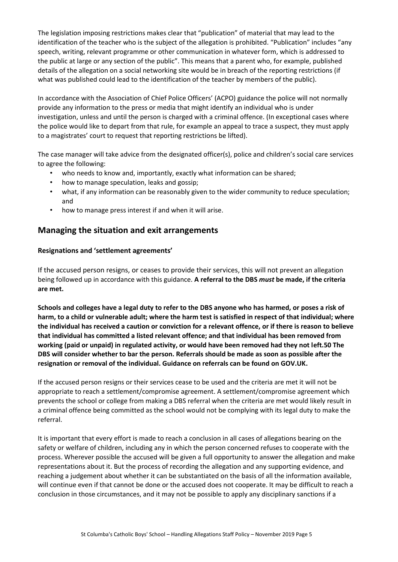The legislation imposing restrictions makes clear that "publication" of material that may lead to the identification of the teacher who is the subject of the allegation is prohibited. "Publication" includes "any speech, writing, relevant programme or other communication in whatever form, which is addressed to the public at large or any section of the public". This means that a parent who, for example, published details of the allegation on a social networking site would be in breach of the reporting restrictions (if what was published could lead to the identification of the teacher by members of the public).

In accordance with the Association of Chief Police Officers' (ACPO) guidance the police will not normally provide any information to the press or media that might identify an individual who is under investigation, unless and until the person is charged with a criminal offence. (In exceptional cases where the police would like to depart from that rule, for example an appeal to trace a suspect, they must apply to a magistrates' court to request that reporting restrictions be lifted).

The case manager will take advice from the designated officer(s), police and children's social care services to agree the following:

- who needs to know and, importantly, exactly what information can be shared;
- how to manage speculation, leaks and gossip;
- what, if any information can be reasonably given to the wider community to reduce speculation; and
- how to manage press interest if and when it will arise.

#### **Managing the situation and exit arrangements**

#### **Resignations and 'settlement agreements'**

If the accused person resigns, or ceases to provide their services, this will not prevent an allegation being followed up in accordance with this guidance. **A referral to the DBS** *must* **be made, if the criteria are met.**

**Schools and colleges have a legal duty to refer to the DBS anyone who has harmed, or poses a risk of harm, to a child or vulnerable adult; where the harm test is satisfied in respect of that individual; where the individual has received a caution or conviction for a relevant offence, or if there is reason to believe that individual has committed a listed relevant offence; and that individual has been removed from working (paid or unpaid) in regulated activity, or would have been removed had they not left.50 The DBS will consider whether to bar the person. Referrals should be made as soon as possible after the resignation or removal of the individual. Guidance on referrals can be found on GOV.UK.**

If the accused person resigns or their services cease to be used and the criteria are met it will not be appropriate to reach a settlement/compromise agreement. A settlement/compromise agreement which prevents the school or college from making a DBS referral when the criteria are met would likely result in a criminal offence being committed as the school would not be complying with its legal duty to make the referral.

It is important that every effort is made to reach a conclusion in all cases of allegations bearing on the safety or welfare of children, including any in which the person concerned refuses to cooperate with the process. Wherever possible the accused will be given a full opportunity to answer the allegation and make representations about it. But the process of recording the allegation and any supporting evidence, and reaching a judgement about whether it can be substantiated on the basis of all the information available, will continue even if that cannot be done or the accused does not cooperate. It may be difficult to reach a conclusion in those circumstances, and it may not be possible to apply any disciplinary sanctions if a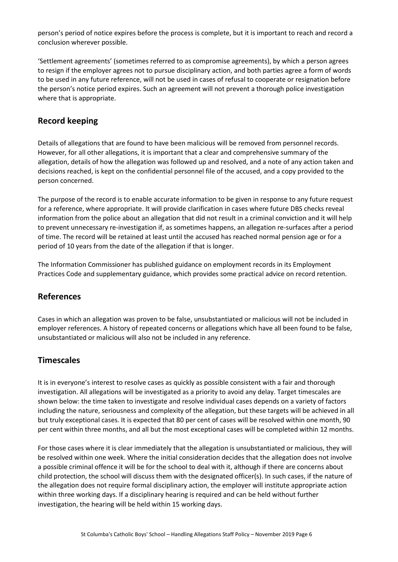person's period of notice expires before the process is complete, but it is important to reach and record a conclusion wherever possible.

'Settlement agreements' (sometimes referred to as compromise agreements), by which a person agrees to resign if the employer agrees not to pursue disciplinary action, and both parties agree a form of words to be used in any future reference, will not be used in cases of refusal to cooperate or resignation before the person's notice period expires. Such an agreement will not prevent a thorough police investigation where that is appropriate.

#### **Record keeping**

Details of allegations that are found to have been malicious will be removed from personnel records. However, for all other allegations, it is important that a clear and comprehensive summary of the allegation, details of how the allegation was followed up and resolved, and a note of any action taken and decisions reached, is kept on the confidential personnel file of the accused, and a copy provided to the person concerned.

The purpose of the record is to enable accurate information to be given in response to any future request for a reference, where appropriate. It will provide clarification in cases where future DBS checks reveal information from the police about an allegation that did not result in a criminal conviction and it will help to prevent unnecessary re-investigation if, as sometimes happens, an allegation re-surfaces after a period of time. The record will be retained at least until the accused has reached normal pension age or for a period of 10 years from the date of the allegation if that is longer.

The Information Commissioner has published guidance on employment records in its Employment Practices Code and supplementary guidance, which provides some practical advice on record retention.

#### **References**

Cases in which an allegation was proven to be false, unsubstantiated or malicious will not be included in employer references. A history of repeated concerns or allegations which have all been found to be false, unsubstantiated or malicious will also not be included in any reference.

#### **Timescales**

It is in everyone's interest to resolve cases as quickly as possible consistent with a fair and thorough investigation. All allegations will be investigated as a priority to avoid any delay. Target timescales are shown below: the time taken to investigate and resolve individual cases depends on a variety of factors including the nature, seriousness and complexity of the allegation, but these targets will be achieved in all but truly exceptional cases. It is expected that 80 per cent of cases will be resolved within one month, 90 per cent within three months, and all but the most exceptional cases will be completed within 12 months.

For those cases where it is clear immediately that the allegation is unsubstantiated or malicious, they will be resolved within one week. Where the initial consideration decides that the allegation does not involve a possible criminal offence it will be for the school to deal with it, although if there are concerns about child protection, the school will discuss them with the designated officer(s). In such cases, if the nature of the allegation does not require formal disciplinary action, the employer will institute appropriate action within three working days. If a disciplinary hearing is required and can be held without further investigation, the hearing will be held within 15 working days.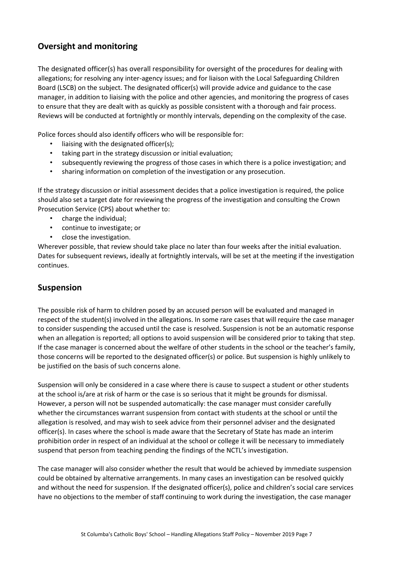#### **Oversight and monitoring**

The designated officer(s) has overall responsibility for oversight of the procedures for dealing with allegations; for resolving any inter-agency issues; and for liaison with the Local Safeguarding Children Board (LSCB) on the subject. The designated officer(s) will provide advice and guidance to the case manager, in addition to liaising with the police and other agencies, and monitoring the progress of cases to ensure that they are dealt with as quickly as possible consistent with a thorough and fair process. Reviews will be conducted at fortnightly or monthly intervals, depending on the complexity of the case.

Police forces should also identify officers who will be responsible for:

- liaising with the designated officer(s);
- taking part in the strategy discussion or initial evaluation;
- subsequently reviewing the progress of those cases in which there is a police investigation; and
- sharing information on completion of the investigation or any prosecution.

If the strategy discussion or initial assessment decides that a police investigation is required, the police should also set a target date for reviewing the progress of the investigation and consulting the Crown Prosecution Service (CPS) about whether to:

- charge the individual;
- continue to investigate; or
- close the investigation.

Wherever possible, that review should take place no later than four weeks after the initial evaluation. Dates for subsequent reviews, ideally at fortnightly intervals, will be set at the meeting if the investigation continues.

#### **Suspension**

The possible risk of harm to children posed by an accused person will be evaluated and managed in respect of the student(s) involved in the allegations. In some rare cases that will require the case manager to consider suspending the accused until the case is resolved. Suspension is not be an automatic response when an allegation is reported; all options to avoid suspension will be considered prior to taking that step. If the case manager is concerned about the welfare of other students in the school or the teacher's family, those concerns will be reported to the designated officer(s) or police. But suspension is highly unlikely to be justified on the basis of such concerns alone.

Suspension will only be considered in a case where there is cause to suspect a student or other students at the school is/are at risk of harm or the case is so serious that it might be grounds for dismissal. However, a person will not be suspended automatically: the case manager must consider carefully whether the circumstances warrant suspension from contact with students at the school or until the allegation is resolved, and may wish to seek advice from their personnel adviser and the designated officer(s). In cases where the school is made aware that the Secretary of State has made an interim prohibition order in respect of an individual at the school or college it will be necessary to immediately suspend that person from teaching pending the findings of the NCTL's investigation.

The case manager will also consider whether the result that would be achieved by immediate suspension could be obtained by alternative arrangements. In many cases an investigation can be resolved quickly and without the need for suspension. If the designated officer(s), police and children's social care services have no objections to the member of staff continuing to work during the investigation, the case manager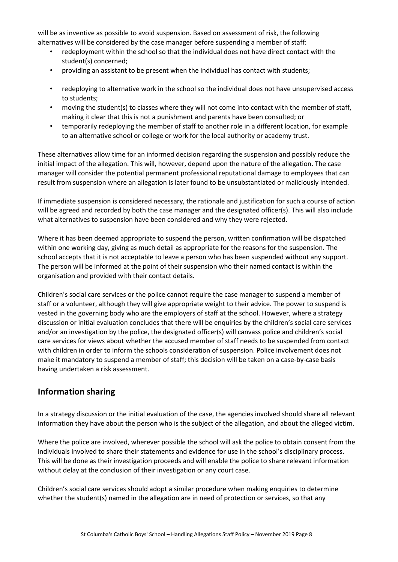will be as inventive as possible to avoid suspension. Based on assessment of risk, the following alternatives will be considered by the case manager before suspending a member of staff:

- redeployment within the school so that the individual does not have direct contact with the student(s) concerned;
- providing an assistant to be present when the individual has contact with students;
- redeploying to alternative work in the school so the individual does not have unsupervised access to students;
- moving the student(s) to classes where they will not come into contact with the member of staff, making it clear that this is not a punishment and parents have been consulted; or
- temporarily redeploying the member of staff to another role in a different location, for example to an alternative school or college or work for the local authority or academy trust.

These alternatives allow time for an informed decision regarding the suspension and possibly reduce the initial impact of the allegation. This will, however, depend upon the nature of the allegation. The case manager will consider the potential permanent professional reputational damage to employees that can result from suspension where an allegation is later found to be unsubstantiated or maliciously intended.

If immediate suspension is considered necessary, the rationale and justification for such a course of action will be agreed and recorded by both the case manager and the designated officer(s). This will also include what alternatives to suspension have been considered and why they were rejected.

Where it has been deemed appropriate to suspend the person, written confirmation will be dispatched within one working day, giving as much detail as appropriate for the reasons for the suspension. The school accepts that it is not acceptable to leave a person who has been suspended without any support. The person will be informed at the point of their suspension who their named contact is within the organisation and provided with their contact details.

Children's social care services or the police cannot require the case manager to suspend a member of staff or a volunteer, although they will give appropriate weight to their advice. The power to suspend is vested in the governing body who are the employers of staff at the school. However, where a strategy discussion or initial evaluation concludes that there will be enquiries by the children's social care services and/or an investigation by the police, the designated officer(s) will canvass police and children's social care services for views about whether the accused member of staff needs to be suspended from contact with children in order to inform the schools consideration of suspension. Police involvement does not make it mandatory to suspend a member of staff; this decision will be taken on a case-by-case basis having undertaken a risk assessment.

#### **Information sharing**

In a strategy discussion or the initial evaluation of the case, the agencies involved should share all relevant information they have about the person who is the subject of the allegation, and about the alleged victim.

Where the police are involved, wherever possible the school will ask the police to obtain consent from the individuals involved to share their statements and evidence for use in the school's disciplinary process. This will be done as their investigation proceeds and will enable the police to share relevant information without delay at the conclusion of their investigation or any court case.

Children's social care services should adopt a similar procedure when making enquiries to determine whether the student(s) named in the allegation are in need of protection or services, so that any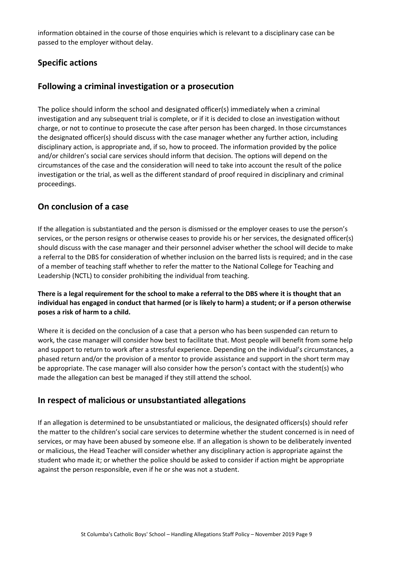information obtained in the course of those enquiries which is relevant to a disciplinary case can be passed to the employer without delay.

#### **Specific actions**

#### **Following a criminal investigation or a prosecution**

The police should inform the school and designated officer(s) immediately when a criminal investigation and any subsequent trial is complete, or if it is decided to close an investigation without charge, or not to continue to prosecute the case after person has been charged. In those circumstances the designated officer(s) should discuss with the case manager whether any further action, including disciplinary action, is appropriate and, if so, how to proceed. The information provided by the police and/or children's social care services should inform that decision. The options will depend on the circumstances of the case and the consideration will need to take into account the result of the police investigation or the trial, as well as the different standard of proof required in disciplinary and criminal proceedings.

#### **On conclusion of a case**

If the allegation is substantiated and the person is dismissed or the employer ceases to use the person's services, or the person resigns or otherwise ceases to provide his or her services, the designated officer(s) should discuss with the case manager and their personnel adviser whether the school will decide to make a referral to the DBS for consideration of whether inclusion on the barred lists is required; and in the case of a member of teaching staff whether to refer the matter to the National College for Teaching and Leadership (NCTL) to consider prohibiting the individual from teaching.

#### **There is a legal requirement for the school to make a referral to the DBS where it is thought that an individual has engaged in conduct that harmed (or is likely to harm) a student; or if a person otherwise poses a risk of harm to a child.**

Where it is decided on the conclusion of a case that a person who has been suspended can return to work, the case manager will consider how best to facilitate that. Most people will benefit from some help and support to return to work after a stressful experience. Depending on the individual's circumstances, a phased return and/or the provision of a mentor to provide assistance and support in the short term may be appropriate. The case manager will also consider how the person's contact with the student(s) who made the allegation can best be managed if they still attend the school.

#### **In respect of malicious or unsubstantiated allegations**

If an allegation is determined to be unsubstantiated or malicious, the designated officers(s) should refer the matter to the children's social care services to determine whether the student concerned is in need of services, or may have been abused by someone else. If an allegation is shown to be deliberately invented or malicious, the Head Teacher will consider whether any disciplinary action is appropriate against the student who made it; or whether the police should be asked to consider if action might be appropriate against the person responsible, even if he or she was not a student.